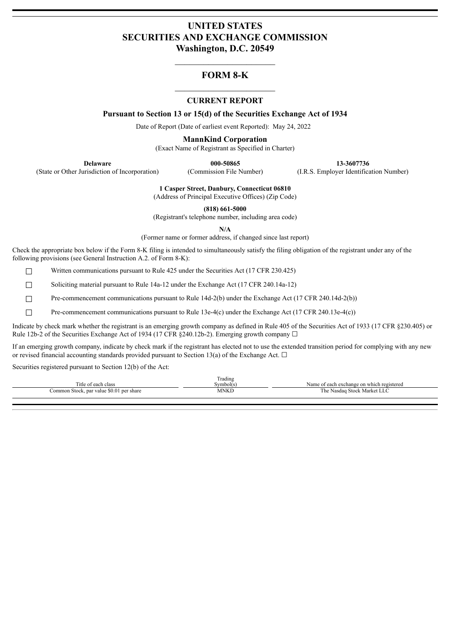# **UNITED STATES SECURITIES AND EXCHANGE COMMISSION Washington, D.C. 20549**

## **FORM 8-K**

### **CURRENT REPORT**

**Pursuant to Section 13 or 15(d) of the Securities Exchange Act of 1934**

Date of Report (Date of earliest event Reported): May 24, 2022

**MannKind Corporation**

(Exact Name of Registrant as Specified in Charter)

(State or Other Jurisdiction of Incorporation) (Commission File Number) (I.R.S. Employer Identification Number)

**Delaware 000-50865 13-3607736**

**1 Casper Street, Danbury, Connecticut 06810**

(Address of Principal Executive Offices) (Zip Code)

**(818) 661-5000**

(Registrant's telephone number, including area code)

**N/A**

(Former name or former address, if changed since last report)

Check the appropriate box below if the Form 8-K filing is intended to simultaneously satisfy the filing obligation of the registrant under any of the following provisions (see General Instruction A.2. of Form 8-K):

☐ Written communications pursuant to Rule 425 under the Securities Act (17 CFR 230.425)

☐ Soliciting material pursuant to Rule 14a-12 under the Exchange Act (17 CFR 240.14a-12)

□ Pre-commencement communications pursuant to Rule 14d-2(b) under the Exchange Act (17 CFR 240.14d-2(b))

☐ Pre-commencement communications pursuant to Rule 13e-4(c) under the Exchange Act (17 CFR 240.13e-4(c))

Indicate by check mark whether the registrant is an emerging growth company as defined in Rule 405 of the Securities Act of 1933 (17 CFR §230.405) or Rule 12b-2 of the Securities Exchange Act of 1934 (17 CFR §240.12b-2). Emerging growth company  $\Box$ 

If an emerging growth company, indicate by check mark if the registrant has elected not to use the extended transition period for complying with any new or revised financial accounting standards provided pursuant to Section 13(a) of the Exchange Act.  $\Box$ 

Securities registered pursuant to Section 12(b) of the Act:

|                                                | $\sim$<br>radıng |                                           |
|------------------------------------------------|------------------|-------------------------------------------|
| 'itle<br>: of each<br>class                    | ≅vmbol(s.        | Name of each exchange on which registered |
| k, par value \$0.01 per share<br>Common Stock, | MNKI             | l he<br>: Nasdag Stock Market LLC         |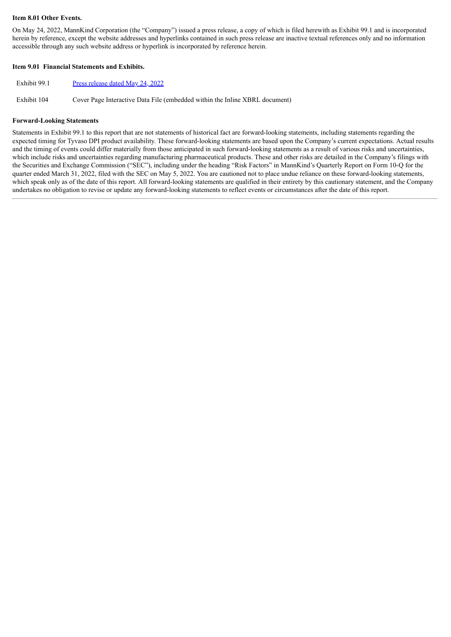### **Item 8.01 Other Events.**

On May 24, 2022, MannKind Corporation (the "Company") issued a press release, a copy of which is filed herewith as Exhibit 99.1 and is incorporated herein by reference, except the website addresses and hyperlinks contained in such press release are inactive textual references only and no information accessible through any such website address or hyperlink is incorporated by reference herein.

### **Item 9.01 Financial Statements and Exhibits.**

Exhibit 104 Cover Page Interactive Data File (embedded within the Inline XBRL document)

#### **Forward-Looking Statements**

Statements in Exhibit 99.1 to this report that are not statements of historical fact are forward-looking statements, including statements regarding the expected timing for Tyvaso DPI product availability. These forward-looking statements are based upon the Company's current expectations. Actual results and the timing of events could differ materially from those anticipated in such forward-looking statements as a result of various risks and uncertainties, which include risks and uncertainties regarding manufacturing pharmaceutical products. These and other risks are detailed in the Company's filings with the Securities and Exchange Commission ("SEC"), including under the heading "Risk Factors" in MannKind's Quarterly Report on Form 10-Q for the quarter ended March 31, 2022, filed with the SEC on May 5, 2022. You are cautioned not to place undue reliance on these forward-looking statements, which speak only as of the date of this report. All forward-looking statements are qualified in their entirety by this cautionary statement, and the Company undertakes no obligation to revise or update any forward-looking statements to reflect events or circumstances after the date of this report.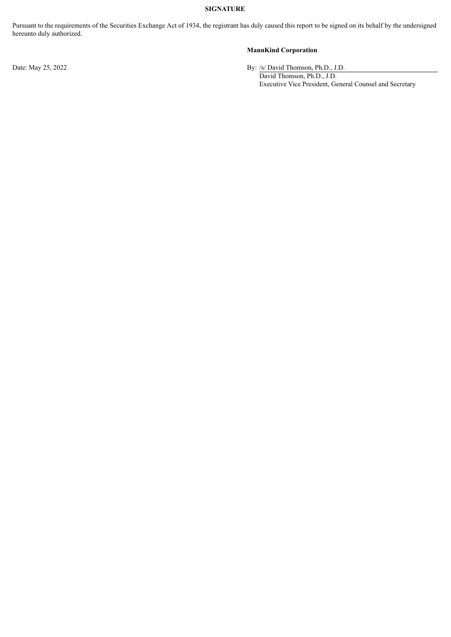## **SIGNATURE**

Pursuant to the requirements of the Securities Exchange Act of 1934, the registrant has duly caused this report to be signed on its behalf by the undersigned hereunto duly authorized.

## **MannKind Corporation**

Date: May 25, 2022 By: /s/ David Thomson, Ph.D., J.D.

David Thomson, Ph.D., J.D. Executive Vice President, General Counsel and Secretary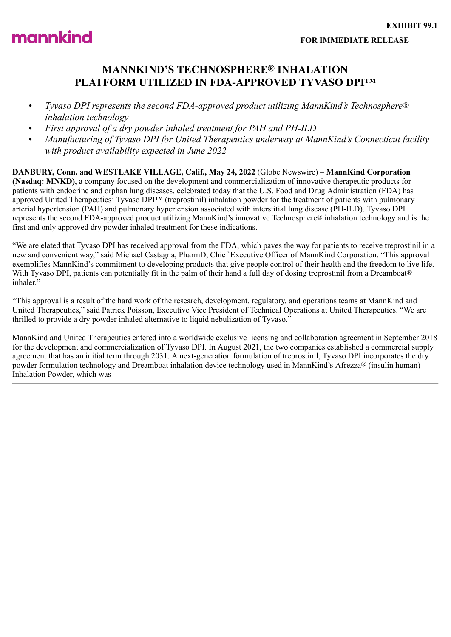<span id="page-3-0"></span>

# **MANNKIND'S TECHNOSPHERE® INHALATION PLATFORM UTILIZED IN FDA-APPROVED TYVASO DPI™**

- *Tyvaso DPI represents the second FDA-approved product utilizing MannKind's Technosphere® inhalation technology*
- *First approval of a dry powder inhaled treatment for PAH and PH-ILD*
- *Manufacturing of Tyvaso DPI for United Therapeutics underway at MannKind's Connecticut facility with product availability expected in June 2022*

**DANBURY, Conn. and WESTLAKE VILLAGE, Calif., May 24, 2022** (Globe Newswire) – **MannKind Corporation (Nasdaq: MNKD)**, a company focused on the development and commercialization of innovative therapeutic products for patients with endocrine and orphan lung diseases, celebrated today that the U.S. Food and Drug Administration (FDA) has approved United Therapeutics' Tyvaso DPI™ (treprostinil) inhalation powder for the treatment of patients with pulmonary arterial hypertension (PAH) and pulmonary hypertension associated with interstitial lung disease (PH-ILD). Tyvaso DPI represents the second FDA-approved product utilizing MannKind's innovative Technosphere® inhalation technology and is the first and only approved dry powder inhaled treatment for these indications.

"We are elated that Tyvaso DPI has received approval from the FDA, which paves the way for patients to receive treprostinil in a new and convenient way," said Michael Castagna, PharmD, Chief Executive Officer of MannKind Corporation. "This approval exemplifies MannKind's commitment to developing products that give people control of their health and the freedom to live life. With Tyvaso DPI, patients can potentially fit in the palm of their hand a full day of dosing treprostinil from a Dreamboat® inhaler."

"This approval is a result of the hard work of the research, development, regulatory, and operations teams at MannKind and United Therapeutics," said Patrick Poisson, Executive Vice President of Technical Operations at United Therapeutics. "We are thrilled to provide a dry powder inhaled alternative to liquid nebulization of Tyvaso.<sup>5</sup>

MannKind and United Therapeutics entered into a worldwide exclusive licensing and collaboration agreement in September 2018 for the development and commercialization of Tyvaso DPI. In August 2021, the two companies established a commercial supply agreement that has an initial term through 2031. A next-generation formulation of treprostinil, Tyvaso DPI incorporates the dry powder formulation technology and Dreamboat inhalation device technology used in MannKind's Afrezza® (insulin human) Inhalation Powder, which was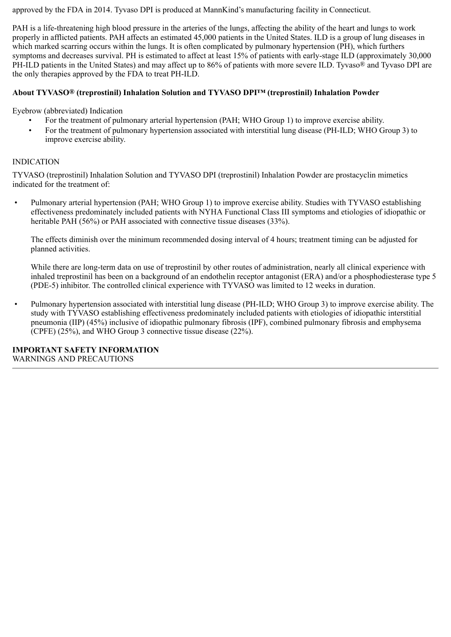approved by the FDA in 2014. Tyvaso DPI is produced at MannKind's manufacturing facility in Connecticut.

PAH is a life-threatening high blood pressure in the arteries of the lungs, affecting the ability of the heart and lungs to work properly in afflicted patients. PAH affects an estimated 45,000 patients in the United States. ILD is a group of lung diseases in which marked scarring occurs within the lungs. It is often complicated by pulmonary hypertension (PH), which furthers symptoms and decreases survival. PH is estimated to affect at least 15% of patients with early-stage ILD (approximately 30,000 PH-ILD patients in the United States) and may affect up to 86% of patients with more severe ILD. Tyvaso® and Tyvaso DPI are the only therapies approved by the FDA to treat PH-ILD.

# **About TYVASO® (treprostinil) Inhalation Solution and TYVASO DPI™ (treprostinil) Inhalation Powder**

Eyebrow (abbreviated) Indication

- For the treatment of pulmonary arterial hypertension (PAH; WHO Group 1) to improve exercise ability.
- For the treatment of pulmonary hypertension associated with interstitial lung disease (PH-ILD; WHO Group 3) to improve exercise ability.

## INDICATION

TYVASO (treprostinil) Inhalation Solution and TYVASO DPI (treprostinil) Inhalation Powder are prostacyclin mimetics indicated for the treatment of:

• Pulmonary arterial hypertension (PAH; WHO Group 1) to improve exercise ability. Studies with TYVASO establishing effectiveness predominately included patients with NYHA Functional Class III symptoms and etiologies of idiopathic or heritable PAH (56%) or PAH associated with connective tissue diseases (33%).

The effects diminish over the minimum recommended dosing interval of 4 hours; treatment timing can be adjusted for planned activities.

While there are long-term data on use of treprostinil by other routes of administration, nearly all clinical experience with inhaled treprostinil has been on a background of an endothelin receptor antagonist (ERA) and/or a phosphodiesterase type 5 (PDE-5) inhibitor. The controlled clinical experience with TYVASO was limited to 12 weeks in duration.

• Pulmonary hypertension associated with interstitial lung disease (PH-ILD; WHO Group 3) to improve exercise ability. The study with TYVASO establishing effectiveness predominately included patients with etiologies of idiopathic interstitial pneumonia (IIP) (45%) inclusive of idiopathic pulmonary fibrosis (IPF), combined pulmonary fibrosis and emphysema (CPFE) (25%), and WHO Group 3 connective tissue disease (22%).

**IMPORTANT SAFETY INFORMATION** WARNINGS AND PRECAUTIONS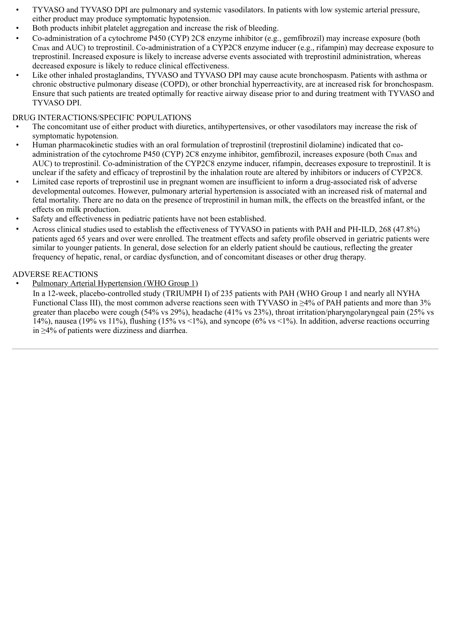- TYVASO and TYVASO DPI are pulmonary and systemic vasodilators. In patients with low systemic arterial pressure, either product may produce symptomatic hypotension.
- Both products inhibit platelet aggregation and increase the risk of bleeding.
- Co-administration of a cytochrome P450 (CYP) 2C8 enzyme inhibitor (e.g., gemfibrozil) may increase exposure (both Cmax and AUC) to treprostinil. Co-administration of a CYP2C8 enzyme inducer (e.g., rifampin) may decrease exposure to treprostinil. Increased exposure is likely to increase adverse events associated with treprostinil administration, whereas decreased exposure is likely to reduce clinical effectiveness.
- Like other inhaled prostaglandins, TYVASO and TYVASO DPI may cause acute bronchospasm. Patients with asthma or chronic obstructive pulmonary disease (COPD), or other bronchial hyperreactivity, are at increased risk for bronchospasm. Ensure that such patients are treated optimally for reactive airway disease prior to and during treatment with TYVASO and TYVASO DPI.

# DRUG INTERACTIONS/SPECIFIC POPULATIONS

- The concomitant use of either product with diuretics, antihypertensives, or other vasodilators may increase the risk of symptomatic hypotension.
- Human pharmacokinetic studies with an oral formulation of treprostinil (treprostinil diolamine) indicated that coadministration of the cytochrome P450 (CYP) 2C8 enzyme inhibitor, gemfibrozil, increases exposure (both Cmax and AUC) to treprostinil. Co-administration of the CYP2C8 enzyme inducer, rifampin, decreases exposure to treprostinil. It is unclear if the safety and efficacy of treprostinil by the inhalation route are altered by inhibitors or inducers of CYP2C8.
- Limited case reports of treprostinil use in pregnant women are insufficient to inform a drug-associated risk of adverse developmental outcomes. However, pulmonary arterial hypertension is associated with an increased risk of maternal and fetal mortality. There are no data on the presence of treprostinil in human milk, the effects on the breastfed infant, or the effects on milk production.
- Safety and effectiveness in pediatric patients have not been established.
- Across clinical studies used to establish the effectiveness of TYVASO in patients with PAH and PH‑ILD, 268 (47.8%) patients aged 65 years and over were enrolled. The treatment effects and safety profile observed in geriatric patients were similar to younger patients. In general, dose selection for an elderly patient should be cautious, reflecting the greater frequency of hepatic, renal, or cardiac dysfunction, and of concomitant diseases or other drug therapy.

## ADVERSE REACTIONS

• Pulmonary Arterial Hypertension (WHO Group 1)

In a 12-week, placebo-controlled study (TRIUMPH I) of 235 patients with PAH (WHO Group 1 and nearly all NYHA Functional Class III), the most common adverse reactions seen with TYVASO in ≥4% of PAH patients and more than 3% greater than placebo were cough (54% vs 29%), headache (41% vs 23%), throat irritation/pharyngolaryngeal pain (25% vs 14%), nausea (19% vs 11%), flushing (15% vs <1%), and syncope (6% vs <1%). In addition, adverse reactions occurring in ≥4% of patients were dizziness and diarrhea.